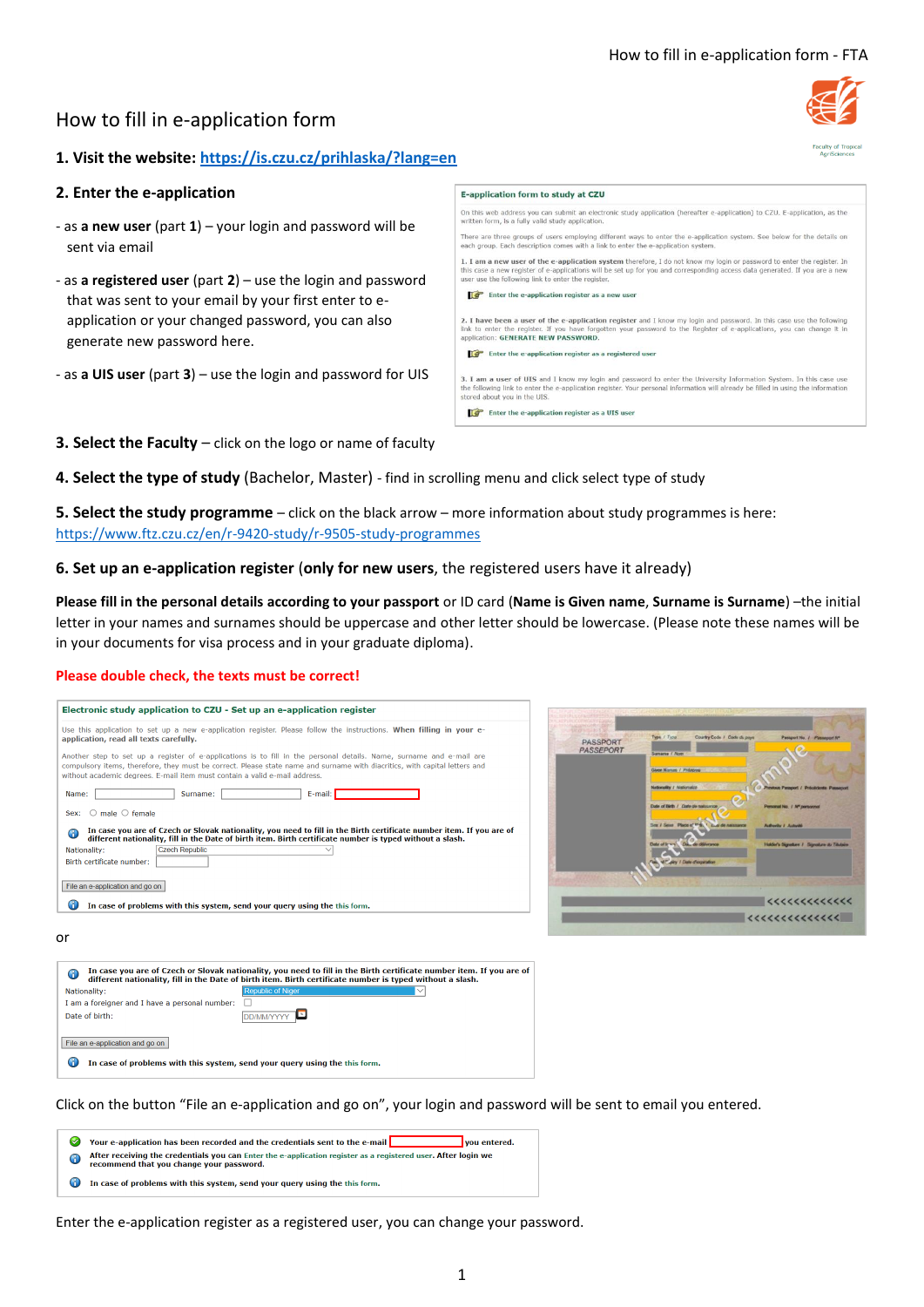# How to fill in e-application form

## **1. Visit the website:<https://is.czu.cz/prihlaska/?lang=en>**

### **2. Enter the e-application**

- as **a new user** (part **1**) your login and password will be sent via email
- as **a registered user** (part **2**) use the login and password that was sent to your email by your first enter to eapplication or your changed password, you can also generate new password here.
- as **a UIS user** (part **3**) use the login and password for UIS
- his web address you can submit an electronic study application (hereafter e-application) to CZU. E-application, as the<br>en form, is a fully valid study application. re are three groups of users employing different ways to enter the e-application system. See below for the details on each group. Each description comes with a link to enter the e-application system 1. I am a new user of the e-application system therefore, I do not know my login or password to enter the register. In<br>this case a new register of e-applications will be set up for you and corresponding access data generat  $\mathbb{F}$  Enter the e-application register as a new use 2. I have been a user of the e-application register and I know my login and password. In this case use the following<br>link to enter the register. If you have forgotten your password to the Register of e-applications, you ca application: GENERATE NEW PASSWORD. Enter the e-application register as a registered 3. I am a user of UIS and I know my login and password to enter the University Information System. In this case use<br>the following link to enter the e-application register. Your personal information will already be filled i he following link to enter th<br>stored about you in the UIS. Enter the e-application register as a UIS user

E-application form to study at CZU

- **3. Select the Faculty** click on the logo or name of faculty
- **4. Select the type of study** (Bachelor, Master) find in scrolling menu and click select type of study

**5. Select the study programme** – click on the black arrow – more information about study programmes is here: <https://www.ftz.czu.cz/en/r-9420-study/r-9505-study-programmes>

**6. Set up an e-application register** (**only for new users**, the registered users have it already)

**Please fill in the personal details according to your passport** or ID card (**Name is Given name**, **Surname is Surname**) –the initial letter in your names and surnames should be uppercase and other letter should be lowercase. (Please note these names will be in your documents for visa process and in your graduate diploma).

#### **Please double check, the texts must be correct!**

| Another step to set up a register of e-applications is to fill in the personal details. Name, surname and e-mail are<br>compulsory items, therefore, they must be correct. Please state name and surname with diacritics, with capital letters and<br>without academic degrees. E-mail item must contain a valid e-mail address.<br>Surname:<br>E-mail: I<br>Name:<br>$\bigcirc$ male $\bigcirc$ female<br>Sex:<br>In case you are of Czech or Slovak nationality, you need to fill in the Birth certificate number item. If you are of<br>⋒<br>different nationality, fill in the Date of birth item. Birth certificate number is typed without a slash.<br><b>Czech Republic</b><br>Nationality:<br>Birth certificate number:<br>File an e-application and go on<br>61<br>In case of problems with this system, send your query using the this form. | Electronic study application to CZU - Set up an e-application register                                                                                         |
|--------------------------------------------------------------------------------------------------------------------------------------------------------------------------------------------------------------------------------------------------------------------------------------------------------------------------------------------------------------------------------------------------------------------------------------------------------------------------------------------------------------------------------------------------------------------------------------------------------------------------------------------------------------------------------------------------------------------------------------------------------------------------------------------------------------------------------------------------------|----------------------------------------------------------------------------------------------------------------------------------------------------------------|
|                                                                                                                                                                                                                                                                                                                                                                                                                                                                                                                                                                                                                                                                                                                                                                                                                                                        | Use this application to set up a new e-application register. Please follow the instructions. When filling in your e-<br>application, read all texts carefully. |
|                                                                                                                                                                                                                                                                                                                                                                                                                                                                                                                                                                                                                                                                                                                                                                                                                                                        |                                                                                                                                                                |
|                                                                                                                                                                                                                                                                                                                                                                                                                                                                                                                                                                                                                                                                                                                                                                                                                                                        |                                                                                                                                                                |
|                                                                                                                                                                                                                                                                                                                                                                                                                                                                                                                                                                                                                                                                                                                                                                                                                                                        |                                                                                                                                                                |
|                                                                                                                                                                                                                                                                                                                                                                                                                                                                                                                                                                                                                                                                                                                                                                                                                                                        |                                                                                                                                                                |
|                                                                                                                                                                                                                                                                                                                                                                                                                                                                                                                                                                                                                                                                                                                                                                                                                                                        |                                                                                                                                                                |
| or                                                                                                                                                                                                                                                                                                                                                                                                                                                                                                                                                                                                                                                                                                                                                                                                                                                     | 6<br>different nationality, fill in the Date of birth item. Birth certificate number is typed without a slash.                                                 |
| In case you are of Czech or Slovak nationality, you need to fill in the Birth certificate number item. If you are of                                                                                                                                                                                                                                                                                                                                                                                                                                                                                                                                                                                                                                                                                                                                   | <b>Republic of Niger</b><br>Nationality:                                                                                                                       |
|                                                                                                                                                                                                                                                                                                                                                                                                                                                                                                                                                                                                                                                                                                                                                                                                                                                        | I am a foreigner and I have a personal number:                                                                                                                 |



Click on the button "File an e-application and go on", your login and password will be sent to email you entered.

- ◯ Your e-application has been recorded and the credentials sent to the e-mail ◯ you entered.
- After receiving the credentials you can Enter the e-application register as a registered user. After login we<br>recommend that you change your password.

**DD/MM/YYYY** 

**Co** In case of problems with this system, send your query using the this form

<sup>1</sup> In case of problems with this system, send your query using the this form

Date of birth:

File an e-application and go on

Enter the e-application register as a registered user, you can change your password.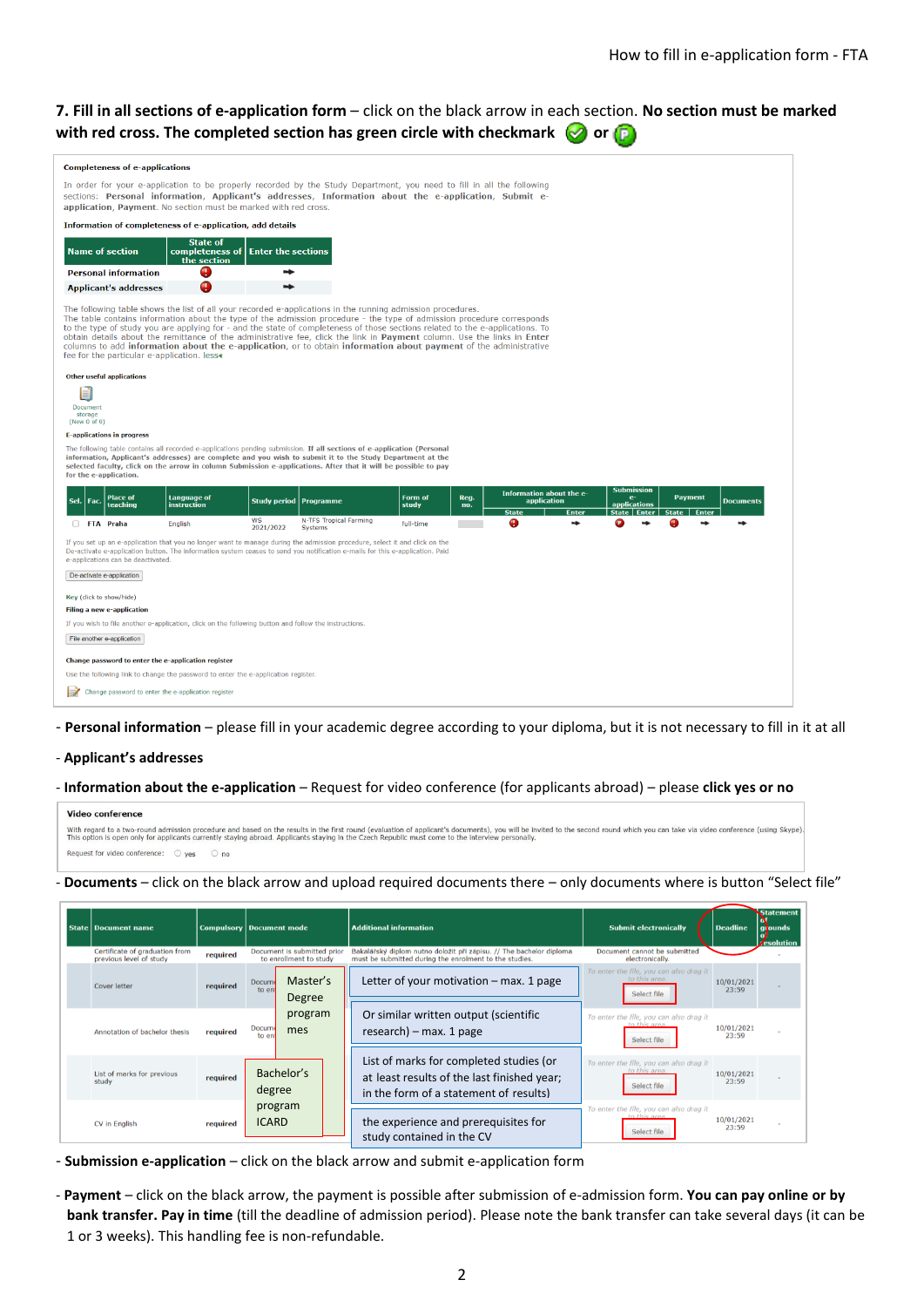## **7. Fill in all sections of e-application form** – click on the black arrow in each section. **No section must be marked with red cross. The completed section has green circle with checkmark**  $\heartsuit$  **or**  $\heartsuit$

| <b>Completeness of e-applications</b>                                                                                                                                                                                                                                                                                                                                                                                                                                                                                                                                                                                                                                               |                                                           |                               |                                          |                  |             |                                                         |       |                                                                                          |                                |                  |
|-------------------------------------------------------------------------------------------------------------------------------------------------------------------------------------------------------------------------------------------------------------------------------------------------------------------------------------------------------------------------------------------------------------------------------------------------------------------------------------------------------------------------------------------------------------------------------------------------------------------------------------------------------------------------------------|-----------------------------------------------------------|-------------------------------|------------------------------------------|------------------|-------------|---------------------------------------------------------|-------|------------------------------------------------------------------------------------------|--------------------------------|------------------|
| In order for your e-application to be properly recorded by the Study Department, you need to fill in all the following<br>sections: Personal information, Applicant's addresses, Information about the e-application, Submit e-<br>application, Payment. No section must be marked with red cross.                                                                                                                                                                                                                                                                                                                                                                                  |                                                           |                               |                                          |                  |             |                                                         |       |                                                                                          |                                |                  |
|                                                                                                                                                                                                                                                                                                                                                                                                                                                                                                                                                                                                                                                                                     | Information of completeness of e-application, add details |                               |                                          |                  |             |                                                         |       |                                                                                          |                                |                  |
| <b>Name of section</b>                                                                                                                                                                                                                                                                                                                                                                                                                                                                                                                                                                                                                                                              | <b>State of</b><br>completeness of<br>the section         | <b>Enter the sections</b>     |                                          |                  |             |                                                         |       |                                                                                          |                                |                  |
| <b>Personal information</b>                                                                                                                                                                                                                                                                                                                                                                                                                                                                                                                                                                                                                                                         | 0                                                         |                               |                                          |                  |             |                                                         |       |                                                                                          |                                |                  |
| <b>Applicant's addresses</b>                                                                                                                                                                                                                                                                                                                                                                                                                                                                                                                                                                                                                                                        | O                                                         |                               |                                          |                  |             |                                                         |       |                                                                                          |                                |                  |
| The following table shows the list of all your recorded e-applications in the running admission procedures.<br>The table contains information about the type of the admission procedure - the type of admission procedure corresponds<br>to the type of study you are applying for - and the state of completeness of those sections related to the e-applications. To<br>obtain details about the remittance of the administrative fee, click the link in Payment column. Use the links in Enter<br>columns to add <b>information about the e-application</b> , or to obtain <b>information about payment</b> of the administrative<br>fee for the particular e-application. less- |                                                           |                               |                                          |                  |             |                                                         |       |                                                                                          |                                |                  |
| <b>Other useful applications</b><br>≣<br><b>Document</b><br>storage<br>(New $0$ of $0$ )                                                                                                                                                                                                                                                                                                                                                                                                                                                                                                                                                                                            |                                                           |                               |                                          |                  |             |                                                         |       |                                                                                          |                                |                  |
| <b>E-applications in progress</b>                                                                                                                                                                                                                                                                                                                                                                                                                                                                                                                                                                                                                                                   |                                                           |                               |                                          |                  |             |                                                         |       |                                                                                          |                                |                  |
| The following table contains all recorded e-applications pending submission. If all sections of e-application (Personal<br>information, Applicant's addresses) are complete and you wish to submit it to the Study Department at the<br>selected faculty, click on the arrow in column Submission e-applications. After that it will be possible to pay<br>for the e-application.                                                                                                                                                                                                                                                                                                   |                                                           |                               |                                          |                  |             |                                                         |       |                                                                                          |                                |                  |
| <b>Place of</b><br>Sel<br>Fac.<br>teaching                                                                                                                                                                                                                                                                                                                                                                                                                                                                                                                                                                                                                                          | <b>Language of</b><br>instruction                         | <b>Study period Programme</b> |                                          | Form of<br>study | Reg.<br>no. | Information about the e-<br>application<br><b>State</b> | Enter | <b>Submission</b><br>$\mathbf{e}$<br><b>applications</b><br><b>State</b><br><b>Enter</b> | <b>Payment</b><br><b>Enter</b> | <b>Documents</b> |
| FTA Praha                                                                                                                                                                                                                                                                                                                                                                                                                                                                                                                                                                                                                                                                           | English                                                   | WS<br>2021/2022               | N-TFS Tropical Farming<br><b>Systems</b> | full-time        |             | Q                                                       |       |                                                                                          |                                |                  |
| If you set up an e-application that you no longer want to manage during the admission procedure, select it and click on the<br>De-activate e-application button. The information system ceases to send you notification e-mails for this e-application. Paid<br>e-applications can be deactivated.                                                                                                                                                                                                                                                                                                                                                                                  |                                                           |                               |                                          |                  |             |                                                         |       |                                                                                          |                                |                  |
| De-activate e-application                                                                                                                                                                                                                                                                                                                                                                                                                                                                                                                                                                                                                                                           |                                                           |                               |                                          |                  |             |                                                         |       |                                                                                          |                                |                  |
| Key (click to show/hide)                                                                                                                                                                                                                                                                                                                                                                                                                                                                                                                                                                                                                                                            |                                                           |                               |                                          |                  |             |                                                         |       |                                                                                          |                                |                  |
| <b>Filing a new e-application</b>                                                                                                                                                                                                                                                                                                                                                                                                                                                                                                                                                                                                                                                   |                                                           |                               |                                          |                  |             |                                                         |       |                                                                                          |                                |                  |
| If you wish to file another e-application, click on the following button and follow the instructions.                                                                                                                                                                                                                                                                                                                                                                                                                                                                                                                                                                               |                                                           |                               |                                          |                  |             |                                                         |       |                                                                                          |                                |                  |
| File another e-application                                                                                                                                                                                                                                                                                                                                                                                                                                                                                                                                                                                                                                                          |                                                           |                               |                                          |                  |             |                                                         |       |                                                                                          |                                |                  |
| Change password to enter the e-application register                                                                                                                                                                                                                                                                                                                                                                                                                                                                                                                                                                                                                                 |                                                           |                               |                                          |                  |             |                                                         |       |                                                                                          |                                |                  |
| Use the following link to change the password to enter the e-application register.                                                                                                                                                                                                                                                                                                                                                                                                                                                                                                                                                                                                  |                                                           |                               |                                          |                  |             |                                                         |       |                                                                                          |                                |                  |
|                                                                                                                                                                                                                                                                                                                                                                                                                                                                                                                                                                                                                                                                                     | Change password to enter the e-application register       |                               |                                          |                  |             |                                                         |       |                                                                                          |                                |                  |

- **Personal information** – please fill in your academic degree according to your diploma, but it is not necessary to fill in it at all

#### - **Applicant's addresses**

#### - **Information about the e-application** – Request for video conference (for applicants abroad) – please **click yes or no**

| <b>Video conference</b>                                                                                                                                                                                                                                                                                                                                                             |
|-------------------------------------------------------------------------------------------------------------------------------------------------------------------------------------------------------------------------------------------------------------------------------------------------------------------------------------------------------------------------------------|
| With regard to a two-round admission procedure and based on the results in the first round (evaluation of applicant's documents), you will be invited to the second round which you can take via video conference (using Skype<br>This option is open only for applicants currently staying abroad. Applicants staying in the Czech Republic must come to the interview personally. |
| Request for video conference: $\bigcirc$ ves $\bigcirc$ no                                                                                                                                                                                                                                                                                                                          |

#### - **Documents** – click on the black arrow and upload required documents there – only documents where is button "Select file"

| <b>State   Document name</b>                              |          |                         | <b>Compulsory Document mode</b><br><b>Additional information</b> |                                                                                                                                  | <b>Submit electronically</b>                                            | <b>Deadline</b>     | <b>Statement</b><br>grounds<br><b>Zesolution</b> |
|-----------------------------------------------------------|----------|-------------------------|------------------------------------------------------------------|----------------------------------------------------------------------------------------------------------------------------------|-------------------------------------------------------------------------|---------------------|--------------------------------------------------|
| Certificate of graduation from<br>previous level of study | required |                         | Document is submitted prior<br>to enrollment to study            | Bakalářský diplom nutno doložit při zápisu. // The bachelor diploma<br>must be submitted during the enrolment to the studies.    | Document cannot be submitted<br>electronically.                         |                     |                                                  |
| <b>Cover letter</b>                                       | required | Docume<br>to en         | Master's<br>Degree                                               | Letter of your motivation $-$ max. 1 page                                                                                        | To enter the file, you can also drag it<br>to this area.<br>Select file | 10/01/2021<br>23:59 |                                                  |
| Annotation of bachelor thesis                             | required | <b>Docum</b><br>to en   | program<br>mes                                                   | Or similar written output (scientific<br>$research$ ) – max. 1 page                                                              | To enter the file, you can also drag it<br>to this area.<br>Select file | 10/01/2021<br>23:59 |                                                  |
| List of marks for previous<br>study                       | required | degree                  | Bachelor's                                                       | List of marks for completed studies (or<br>at least results of the last finished year;<br>in the form of a statement of results) | To enter the file, you can also drag it<br>to this area.<br>Select file | 10/01/2021<br>23:59 |                                                  |
| CV in English                                             | required | program<br><b>ICARD</b> |                                                                  | the experience and prerequisites for<br>study contained in the CV                                                                | To enter the file, you can also drag it<br>to this area<br>Select file  | 10/01/2021<br>23:59 |                                                  |

- **Submission e-application** click on the black arrow and submit e-application form
- Payment click on the black arrow, the payment is possible after submission of e-admission form. You can pay online or by **bank transfer. Pay in time** (till the deadline of admission period). Please note the bank transfer can take several days (it can be 1 or 3 weeks). This handling fee is non-refundable.